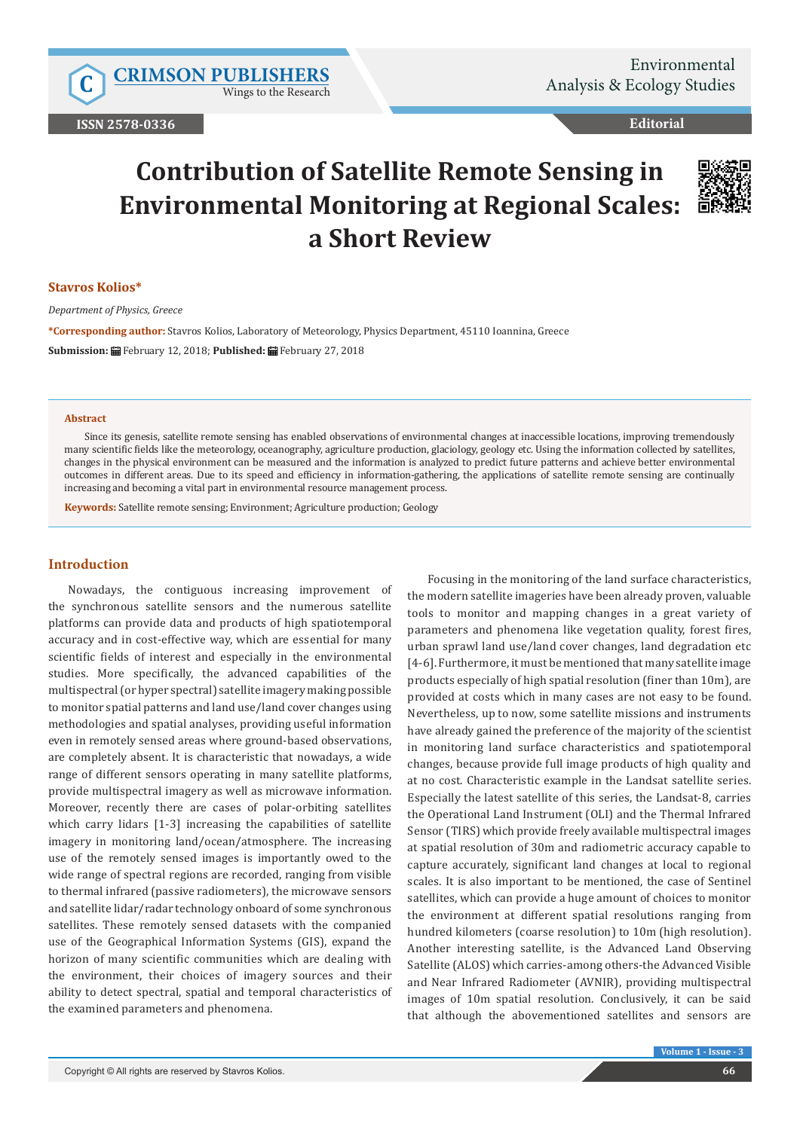Wings to the Research

# **Editorial**

# **Contribution of Satellite Remote Sensing in Environmental Monitoring at Regional Scales: a Short Review**



#### **Stavros Kolios\***

*Department of Physics, Greece*

**\*Corresponding author:** Stavros Kolios, Laboratory of Meteorology, Physics Department, 45110 Ioannina, Greece **Submission:** February 12, 2018; **Published:** February 27, 2018

#### **Abstract**

Since its genesis, satellite remote sensing has enabled observations of environmental changes at inaccessible locations, improving tremendously many scientific fields like the meteorology, oceanography, agriculture production, glaciology, geology etc. Using the information collected by satellites, changes in the physical environment can be measured and the information is analyzed to predict future patterns and achieve better environmental outcomes in different areas. Due to its speed and efficiency in information-gathering, the applications of satellite remote sensing are continually increasing and becoming a vital part in environmental resource management process.

**Keywords:** Satellite remote sensing; Environment; Agriculture production; Geology

## **Introduction**

Nowadays, the contiguous increasing improvement of the synchronous satellite sensors and the numerous satellite platforms can provide data and products of high spatiotemporal accuracy and in cost-effective way, which are essential for many scientific fields of interest and especially in the environmental studies. More specifically, the advanced capabilities of the multispectral (or hyper spectral) satellite imagery making possible to monitor spatial patterns and land use/land cover changes using methodologies and spatial analyses, providing useful information even in remotely sensed areas where ground-based observations, are completely absent. It is characteristic that nowadays, a wide range of different sensors operating in many satellite platforms, provide multispectral imagery as well as microwave information. Moreover, recently there are cases of polar-orbiting satellites which carry lidars [1-3] increasing the capabilities of satellite imagery in monitoring land/ocean/atmosphere. The increasing use of the remotely sensed images is importantly owed to the wide range of spectral regions are recorded, ranging from visible to thermal infrared (passive radiometers), the microwave sensors and satellite lidar/radar technology onboard of some synchronous satellites. These remotely sensed datasets with the companied use of the Geographical Information Systems (GIS), expand the horizon of many scientific communities which are dealing with the environment, their choices of imagery sources and their ability to detect spectral, spatial and temporal characteristics of the examined parameters and phenomena.

Focusing in the monitoring of the land surface characteristics, the modern satellite imageries have been already proven, valuable tools to monitor and mapping changes in a great variety of parameters and phenomena like vegetation quality, forest fires, urban sprawl land use/land cover changes, land degradation etc [4-6]. Furthermore, it must be mentioned that many satellite image products especially of high spatial resolution (finer than 10m), are provided at costs which in many cases are not easy to be found. Nevertheless, up to now, some satellite missions and instruments have already gained the preference of the majority of the scientist in monitoring land surface characteristics and spatiotemporal changes, because provide full image products of high quality and at no cost. Characteristic example in the Landsat satellite series. Especially the latest satellite of this series, the Landsat-8, carries the Operational Land Instrument (OLI) and the Thermal Infrared Sensor (TIRS) which provide freely available multispectral images at spatial resolution of 30m and radiometric accuracy capable to capture accurately, significant land changes at local to regional scales. It is also important to be mentioned, the case of Sentinel satellites, which can provide a huge amount of choices to monitor the environment at different spatial resolutions ranging from hundred kilometers (coarse resolution) to 10m (high resolution). Another interesting satellite, is the Advanced Land Observing Satellite (ALOS) which carries-among others-the Advanced Visible and Near Infrared Radiometer (AVNIR), providing multispectral images of 10m spatial resolution. Conclusively, it can be said that although the abovementioned satellites and sensors are